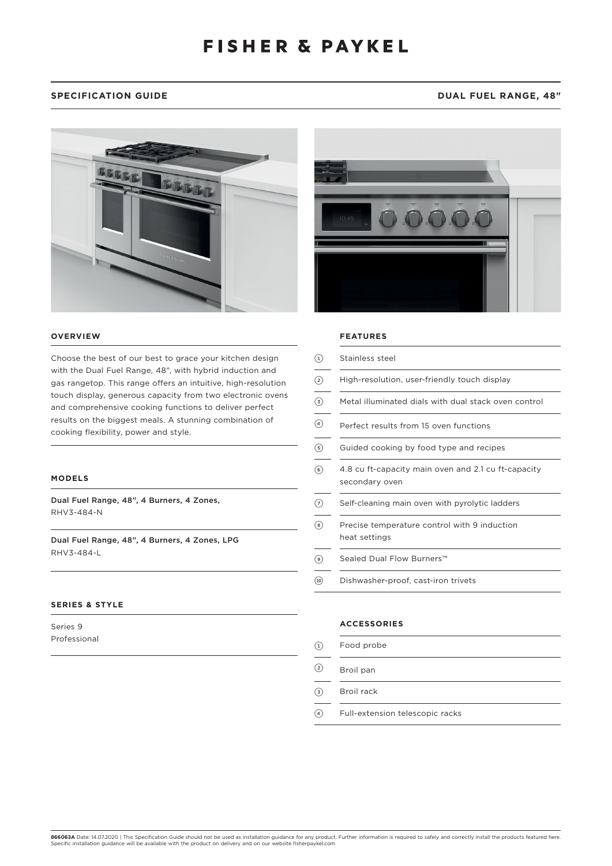# **SPECIFICATION GUIDE DUAL FUEL RANGE, 48"**



## **OVERVIEW**

Choose the best of our best to grace your kitchen design with the Dual Fuel Range, 48", with hybrid induction and gas rangetop. This range offers an intuitive, high-resolution touch display, generous capacity from two electronic ovens and comprehensive cooking functions to deliver perfect results on the biggest meals. A stunning combination of cooking flexibility, power and style.

## **MODELS**

Dual Fuel Range, 48", 4 Burners, 4 Zones, RHV3-484-N

Dual Fuel Range, 48", 4 Burners, 4 Zones, LPG RHV3-484-L

## **SERIES & STYLE**

Series 9 Professional



### **FEATURES**

| $\textcircled{\scriptsize{1}}$ | Stainless steel                                                       |
|--------------------------------|-----------------------------------------------------------------------|
| $\circled{2}$                  | High-resolution, user-friendly touch display                          |
| ☉                              | Metal illuminated dials with dual stack oven control                  |
| $\circled{4}$                  | Perfect results from 15 oven functions                                |
| $\circled{s}$                  | Guided cooking by food type and recipes                               |
| $\circledast$                  | 4.8 cu ft-capacity main oven and 2.1 cu ft-capacity<br>secondary oven |
| 7                              | Self-cleaning main oven with pyrolytic ladders                        |
| $\circledast$                  | Precise temperature control with 9 induction<br>heat settings         |
| (9)                            | Sealed Dual Flow Burners™                                             |
| $\circled{10}$                 | Dishwasher-proof, cast-iron trivets                                   |
|                                |                                                                       |

## **ACCESSORIES**

| Food probe |  |  |
|------------|--|--|

2 Broil pan

 $\odot$ 

- 3 Broil rack
- 4 Full-extension telescopic racks